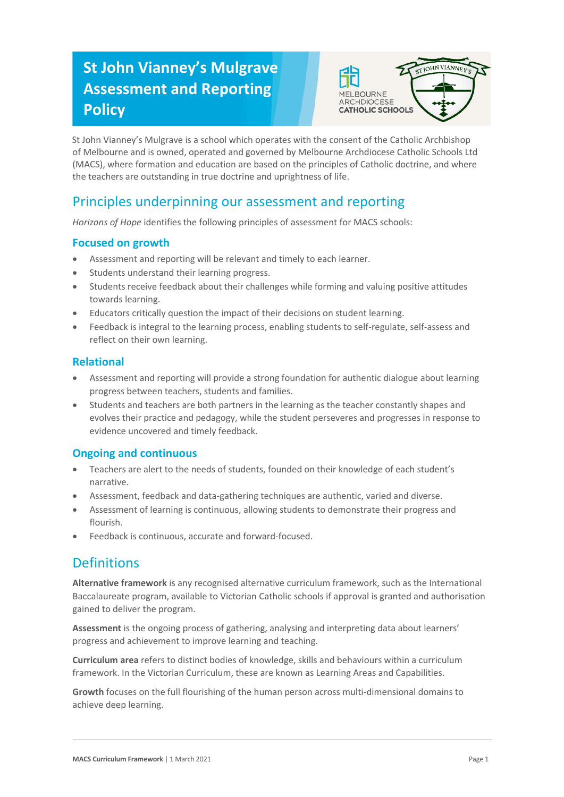# **St John Vianney's Mulgrave Assessment and Reporting Policy**



St John Vianney's Mulgrave is a school which operates with the consent of the Catholic Archbishop of Melbourne and is owned, operated and governed by Melbourne Archdiocese Catholic Schools Ltd (MACS), where formation and education are based on the principles of Catholic doctrine, and where the teachers are outstanding in true doctrine and uprightness of life.

## Principles underpinning our assessment and reporting

*Horizons of Hope* identifies the following principles of assessment for MACS schools:

### **Focused on growth**

- Assessment and reporting will be relevant and timely to each learner.
- Students understand their learning progress.
- Students receive feedback about their challenges while forming and valuing positive attitudes towards learning.
- Educators critically question the impact of their decisions on student learning.
- Feedback is integral to the learning process, enabling students to self-regulate, self-assess and reflect on their own learning.

#### **Relational**

- Assessment and reporting will provide a strong foundation for authentic dialogue about learning progress between teachers, students and families.
- Students and teachers are both partners in the learning as the teacher constantly shapes and evolves their practice and pedagogy, while the student perseveres and progresses in response to evidence uncovered and timely feedback.

#### **Ongoing and continuous**

- Teachers are alert to the needs of students, founded on their knowledge of each student's narrative.
- Assessment, feedback and data-gathering techniques are authentic, varied and diverse.
- Assessment of learning is continuous, allowing students to demonstrate their progress and flourish.
- Feedback is continuous, accurate and forward-focused.

### **Definitions**

**Alternative framework** is any recognised alternative curriculum framework, such as the International Baccalaureate program, available to Victorian Catholic schools if approval is granted and authorisation gained to deliver the program.

**Assessment** is the ongoing process of gathering, analysing and interpreting data about learners' progress and achievement to improve learning and teaching.

**Curriculum area** refers to distinct bodies of knowledge, skills and behaviours within a curriculum framework. In the Victorian Curriculum, these are known as Learning Areas and Capabilities.

**Growth** focuses on the full flourishing of the human person across multi-dimensional domains to achieve deep learning.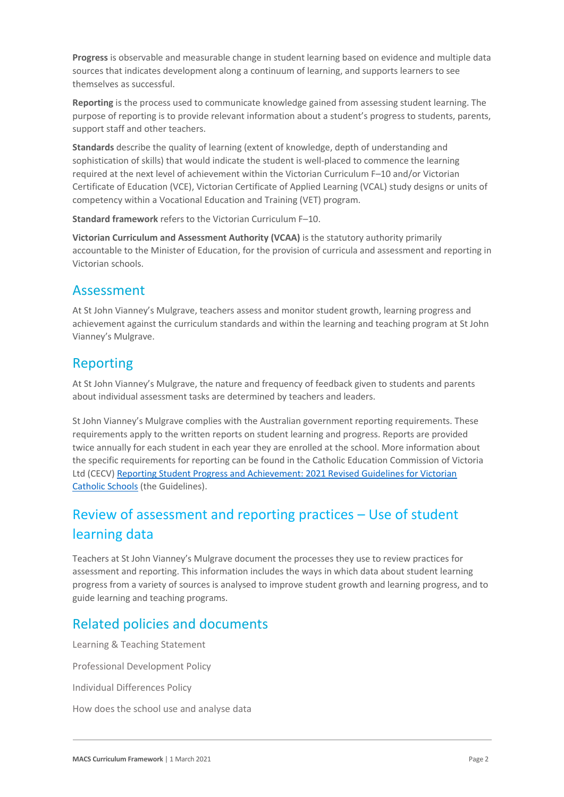**Progress** is observable and measurable change in student learning based on evidence and multiple data sources that indicates development along a continuum of learning, and supports learners to see themselves as successful.

**Reporting** is the process used to communicate knowledge gained from assessing student learning. The purpose of reporting is to provide relevant information about a student's progress to students, parents, support staff and other teachers.

**Standards** describe the quality of learning (extent of knowledge, depth of understanding and sophistication of skills) that would indicate the student is well-placed to commence the learning required at the next level of achievement within the Victorian Curriculum F–10 and/or Victorian Certificate of Education (VCE), Victorian Certificate of Applied Learning (VCAL) study designs or units of competency within a Vocational Education and Training (VET) program.

**Standard framework** refers to the Victorian Curriculum F–10.

**Victorian Curriculum and Assessment Authority (VCAA)** is the statutory authority primarily accountable to the Minister of Education, for the provision of curricula and assessment and reporting in Victorian schools.

### Assessment

At St John Vianney's Mulgrave, teachers assess and monitor student growth, learning progress and achievement against the curriculum standards and within the learning and teaching program at St John Vianney's Mulgrave.

## Reporting

At St John Vianney's Mulgrave, the nature and frequency of feedback given to students and parents about individual assessment tasks are determined by teachers and leaders.

St John Vianney's Mulgrave complies with the Australian government reporting requirements. These requirements apply to the written reports on student learning and progress. Reports are provided twice annually for each student in each year they are enrolled at the school. More information about the specific requirements for reporting can be found in the Catholic Education Commission of Victoria Ltd (CECV[\) Reporting Student Progress and Achievement: 2021 Revised Guidelines for Victorian](https://cevn.cecv.catholic.edu.au/MelbourneDiocese/Document-File/Curriculum/Reporting/CECV-2019-Revised-Student-Reporting-Guidelines.aspx)  [Catholic Schools](https://cevn.cecv.catholic.edu.au/MelbourneDiocese/Document-File/Curriculum/Reporting/CECV-2019-Revised-Student-Reporting-Guidelines.aspx) (the Guidelines).

# Review of assessment and reporting practices – Use of student learning data

Teachers at St John Vianney's Mulgrave document the processes they use to review practices for assessment and reporting. This information includes the ways in which data about student learning progress from a variety of sources is analysed to improve student growth and learning progress, and to guide learning and teaching programs.

## Related policies and documents

Learning & Teaching Statement Professional Development Policy Individual Differences Policy How does the school use and analyse data